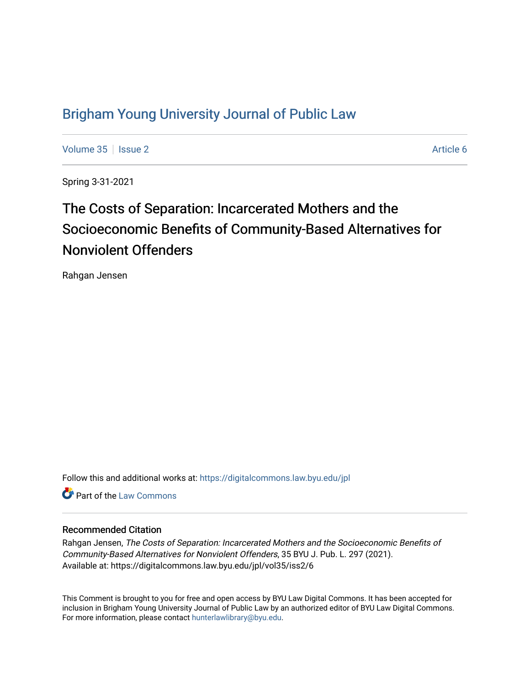## [Brigham Young University Journal of Public Law](https://digitalcommons.law.byu.edu/jpl)

[Volume 35](https://digitalcommons.law.byu.edu/jpl/vol35) | [Issue 2](https://digitalcommons.law.byu.edu/jpl/vol35/iss2) Article 6

Spring 3-31-2021

# The Costs of Separation: Incarcerated Mothers and the Socioeconomic Benefits of Community-Based Alternatives for Nonviolent Offenders

Rahgan Jensen

Follow this and additional works at: [https://digitalcommons.law.byu.edu/jpl](https://digitalcommons.law.byu.edu/jpl?utm_source=digitalcommons.law.byu.edu%2Fjpl%2Fvol35%2Fiss2%2F6&utm_medium=PDF&utm_campaign=PDFCoverPages) 

**C** Part of the [Law Commons](http://network.bepress.com/hgg/discipline/578?utm_source=digitalcommons.law.byu.edu%2Fjpl%2Fvol35%2Fiss2%2F6&utm_medium=PDF&utm_campaign=PDFCoverPages)

#### Recommended Citation

Rahgan Jensen, The Costs of Separation: Incarcerated Mothers and the Socioeconomic Benefits of Community-Based Alternatives for Nonviolent Offenders, 35 BYU J. Pub. L. 297 (2021). Available at: https://digitalcommons.law.byu.edu/jpl/vol35/iss2/6

This Comment is brought to you for free and open access by BYU Law Digital Commons. It has been accepted for inclusion in Brigham Young University Journal of Public Law by an authorized editor of BYU Law Digital Commons. For more information, please contact [hunterlawlibrary@byu.edu](mailto:hunterlawlibrary@byu.edu).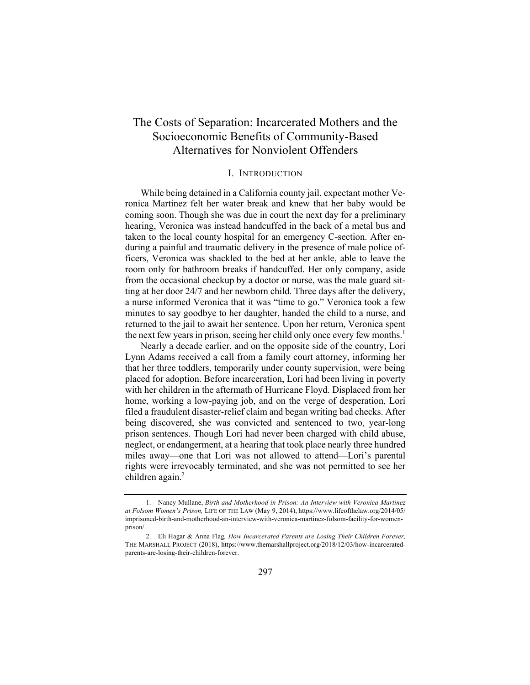### The Costs of Separation: Incarcerated Mothers and the Socioeconomic Benefits of Community-Based Alternatives for Nonviolent Offenders

#### I. INTRODUCTION

While being detained in a California county jail, expectant mother Veronica Martinez felt her water break and knew that her baby would be coming soon. Though she was due in court the next day for a preliminary hearing, Veronica was instead handcuffed in the back of a metal bus and taken to the local county hospital for an emergency C-section. After enduring a painful and traumatic delivery in the presence of male police officers, Veronica was shackled to the bed at her ankle, able to leave the room only for bathroom breaks if handcuffed. Her only company, aside from the occasional checkup by a doctor or nurse, was the male guard sitting at her door 24/7 and her newborn child. Three days after the delivery, a nurse informed Veronica that it was "time to go." Veronica took a few minutes to say goodbye to her daughter, handed the child to a nurse, and returned to the jail to await her sentence. Upon her return, Veronica spent the next few years in prison, seeing her child only once every few months.<sup>1</sup>

Nearly a decade earlier, and on the opposite side of the country, Lori Lynn Adams received a call from a family court attorney, informing her that her three toddlers, temporarily under county supervision, were being placed for adoption. Before incarceration, Lori had been living in poverty with her children in the aftermath of Hurricane Floyd. Displaced from her home, working a low-paying job, and on the verge of desperation, Lori filed a fraudulent disaster-relief claim and began writing bad checks. After being discovered, she was convicted and sentenced to two, year-long prison sentences. Though Lori had never been charged with child abuse, neglect, or endangerment, at a hearing that took place nearly three hundred miles away—one that Lori was not allowed to attend—Lori's parental rights were irrevocably terminated, and she was not permitted to see her children again. $<sup>2</sup>$ </sup>

<sup>1.</sup> Nancy Mullane, *Birth and Motherhood in Prison: An Interview with Veronica Martinez at Folsom Women's Prison,* LIFE OF THE LAW (May 9, 2014), https://www.lifeofthelaw.org/2014/05/ imprisoned-birth-and-motherhood-an-interview-with-veronica-martinez-folsom-facility-for-womenprison/.

<sup>2.</sup> Eli Hagar & Anna Flag*, How Incarcerated Parents are Losing Their Children Forever,* THE MARSHALL PROJECT (2018), https://www.themarshallproject.org/2018/12/03/how-incarceratedparents-are-losing-their-children-forever.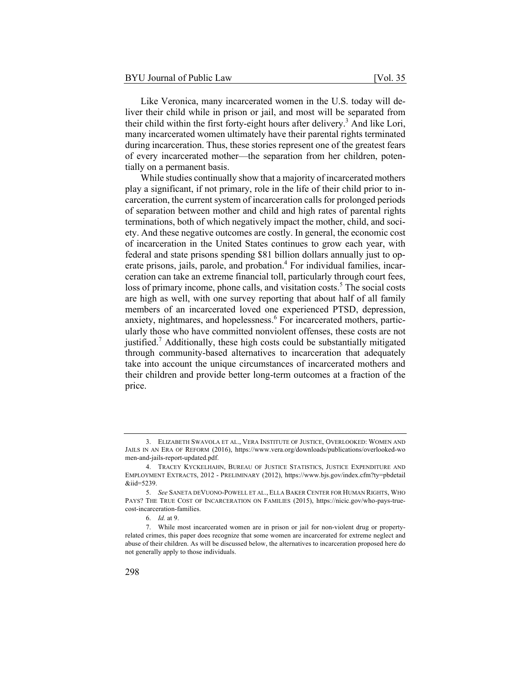Like Veronica, many incarcerated women in the U.S. today will deliver their child while in prison or jail, and most will be separated from their child within the first forty-eight hours after delivery.<sup>3</sup> And like Lori, many incarcerated women ultimately have their parental rights terminated during incarceration. Thus, these stories represent one of the greatest fears of every incarcerated mother—the separation from her children, potentially on a permanent basis.

While studies continually show that a majority of incarcerated mothers play a significant, if not primary, role in the life of their child prior to incarceration, the current system of incarceration calls for prolonged periods of separation between mother and child and high rates of parental rights terminations, both of which negatively impact the mother, child, and society. And these negative outcomes are costly. In general, the economic cost of incarceration in the United States continues to grow each year, with federal and state prisons spending \$81 billion dollars annually just to operate prisons, jails, parole, and probation.<sup>4</sup> For individual families, incarceration can take an extreme financial toll, particularly through court fees, loss of primary income, phone calls, and visitation costs.<sup>5</sup> The social costs are high as well, with one survey reporting that about half of all family members of an incarcerated loved one experienced PTSD, depression, anxiety, nightmares, and hopelessness.<sup>6</sup> For incarcerated mothers, particularly those who have committed nonviolent offenses, these costs are not justified.<sup>7</sup> Additionally, these high costs could be substantially mitigated through community-based alternatives to incarceration that adequately take into account the unique circumstances of incarcerated mothers and their children and provide better long-term outcomes at a fraction of the price.

<sup>3.</sup> ELIZABETH SWAVOLA ET AL., VERA INSTITUTE OF JUSTICE, OVERLOOKED: WOMEN AND JAILS IN AN ERA OF REFORM (2016), https://www.vera.org/downloads/publications/overlooked-wo men-and-jails-report-updated.pdf.

<sup>4.</sup> TRACEY KYCKELHAHN, BUREAU OF JUSTICE STATISTICS, JUSTICE EXPENDITURE AND EMPLOYMENT EXTRACTS, 2012 - PRELIMINARY (2012), https://www.bjs.gov/index.cfm?ty=pbdetail &iid=5239.

<sup>5.</sup> *See* SANETA DEVUONO-POWELL ET AL., ELLA BAKER CENTER FOR HUMAN RIGHTS, WHO PAYS? THE TRUE COST OF INCARCERATION ON FAMILIES (2015), https://nicic.gov/who-pays-truecost-incarceration-families.

<sup>6.</sup> *Id.* at 9.

<sup>7.</sup> While most incarcerated women are in prison or jail for non-violent drug or propertyrelated crimes, this paper does recognize that some women are incarcerated for extreme neglect and abuse of their children. As will be discussed below, the alternatives to incarceration proposed here do not generally apply to those individuals.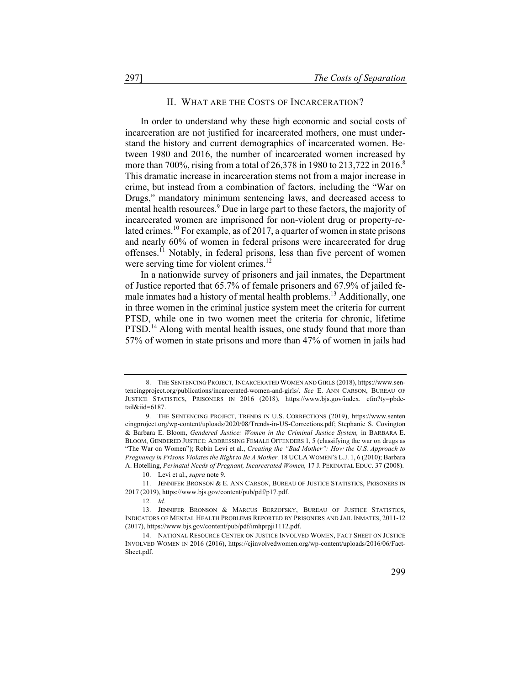#### II. WHAT ARE THE COSTS OF INCARCERATION?

In order to understand why these high economic and social costs of incarceration are not justified for incarcerated mothers, one must understand the history and current demographics of incarcerated women. Between 1980 and 2016, the number of incarcerated women increased by more than 700%, rising from a total of 26,378 in 1980 to 213,722 in 2016.<sup>8</sup> This dramatic increase in incarceration stems not from a major increase in crime, but instead from a combination of factors, including the "War on Drugs," mandatory minimum sentencing laws, and decreased access to mental health resources.<sup>9</sup> Due in large part to these factors, the majority of incarcerated women are imprisoned for non-violent drug or property-related crimes.<sup>10</sup> For example, as of 2017, a quarter of women in state prisons and nearly 60% of women in federal prisons were incarcerated for drug offenses.<sup>11</sup> Notably, in federal prisons, less than five percent of women were serving time for violent crimes.<sup>12</sup>

In a nationwide survey of prisoners and jail inmates, the Department of Justice reported that 65.7% of female prisoners and 67.9% of jailed female inmates had a history of mental health problems.<sup>13</sup> Additionally, one in three women in the criminal justice system meet the criteria for current PTSD, while one in two women meet the criteria for chronic, lifetime PTSD.<sup>14</sup> Along with mental health issues, one study found that more than 57% of women in state prisons and more than 47% of women in jails had

<sup>8.</sup> THE SENTENCING PROJECT*,* INCARCERATED WOMEN AND GIRLS (2018), https://www.sentencingproject.org/publications/incarcerated-women-and-girls/. *See* E. ANN CARSON, BUREAU OF JUSTICE STATISTICS, PRISONERS IN 2016 (2018), https://www.bjs.gov/index. cfm?ty=pbdetail&iid=6187.

<sup>9.</sup> THE SENTENCING PROJECT, TRENDS IN U.S. CORRECTIONS (2019), https://www.senten cingproject.org/wp-content/uploads/2020/08/Trends-in-US-Corrections.pdf; Stephanie S. Covington & Barbara E. Bloom, *Gendered Justice: Women in the Criminal Justice System,* in BARBARA E. BLOOM, GENDERED JUSTICE: ADDRESSING FEMALE OFFENDERS 1, 5 (classifying the war on drugs as "The War on Women"); Robin Levi et al., *Creating the "Bad Mother": How the U.S. Approach to Pregnancy in Prisons Violates the Right to Be A Mother,* 18 UCLA WOMEN'S L.J. 1, 6 (2010); Barbara A. Hotelling, *Perinatal Needs of Pregnant, Incarcerated Women,* 17 J. PERINATAL EDUC. 37 (2008).

<sup>10.</sup> Levi et al., *supra* note 9.

<sup>11.</sup> JENNIFER BRONSON & E. ANN CARSON, BUREAU OF JUSTICE STATISTICS, PRISONERS IN 2017 (2019), https://www.bjs.gov/content/pub/pdf/p17.pdf.

<sup>12.</sup> *Id.*

<sup>13.</sup> JENNIFER BRONSON & MARCUS BERZOFSKY, BUREAU OF JUSTICE STATISTICS, INDICATORS OF MENTAL HEALTH PROBLEMS REPORTED BY PRISONERS AND JAIL INMATES, 2011-12 (2017), https://www.bjs.gov/content/pub/pdf/imhprpji1112.pdf.

<sup>14.</sup> NATIONAL RESOURCE CENTER ON JUSTICE INVOLVED WOMEN, FACT SHEET ON JUSTICE INVOLVED WOMEN IN 2016 (2016), https://cjinvolvedwomen.org/wp-content/uploads/2016/06/Fact-Sheet.pdf.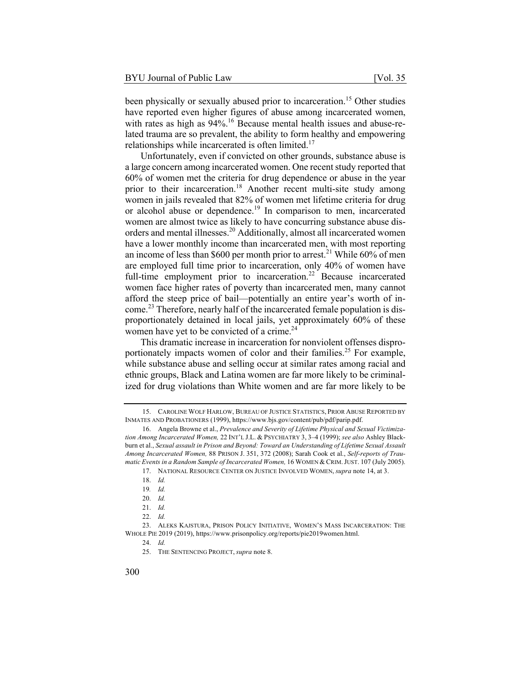been physically or sexually abused prior to incarceration.<sup>15</sup> Other studies have reported even higher figures of abuse among incarcerated women, with rates as high as 94%.<sup>16</sup> Because mental health issues and abuse-related trauma are so prevalent, the ability to form healthy and empowering relationships while incarcerated is often limited.<sup>17</sup>

Unfortunately, even if convicted on other grounds, substance abuse is a large concern among incarcerated women. One recent study reported that 60% of women met the criteria for drug dependence or abuse in the year prior to their incarceration.<sup>18</sup> Another recent multi-site study among women in jails revealed that 82% of women met lifetime criteria for drug or alcohol abuse or dependence.<sup>19</sup> In comparison to men, incarcerated women are almost twice as likely to have concurring substance abuse disorders and mental illnesses.<sup>20</sup> Additionally, almost all incarcerated women have a lower monthly income than incarcerated men, with most reporting an income of less than \$600 per month prior to arrest.<sup>21</sup> While 60% of men are employed full time prior to incarceration, only 40% of women have full-time employment prior to incarceration.<sup>22</sup> Because incarcerated women face higher rates of poverty than incarcerated men, many cannot afford the steep price of bail—potentially an entire year's worth of income.<sup>23</sup> Therefore, nearly half of the incarcerated female population is disproportionately detained in local jails, yet approximately 60% of these women have yet to be convicted of a crime. $24$ 

This dramatic increase in incarceration for nonviolent offenses disproportionately impacts women of color and their families.<sup>25</sup> For example, while substance abuse and selling occur at similar rates among racial and ethnic groups, Black and Latina women are far more likely to be criminalized for drug violations than White women and are far more likely to be

<sup>15.</sup> CAROLINE WOLF HARLOW, BUREAU OF JUSTICE STATISTICS, PRIOR ABUSE REPORTED BY INMATES AND PROBATIONERS (1999), https://www.bjs.gov/content/pub/pdf/parip.pdf.

<sup>16.</sup> Angela Browne et al., *Prevalence and Severity of Lifetime Physical and Sexual Victimization Among Incarcerated Women,* 22 INT'L J.L. & PSYCHIATRY 3, 3–4 (1999); *see also* Ashley Blackburn et al., *Sexual assault in Prison and Beyond: Toward an Understanding of Lifetime Sexual Assault Among Incarcerated Women,* 88 PRISON J. 351, 372 (2008); Sarah Cook et al., *Self-reports of Traumatic Events in a Random Sample of Incarcerated Women,* 16 WOMEN & CRIM.JUST. 107 (July 2005).

<sup>17.</sup> NATIONAL RESOURCE CENTER ON JUSTICE INVOLVED WOMEN, *supra* note 14, at 3.

<sup>18.</sup> *Id.*

<sup>19</sup>*. Id.*

<sup>20.</sup> *Id.*

<sup>21.</sup> *Id.*

<sup>22.</sup> *Id.*

<sup>23.</sup> ALEKS KAJSTURA, PRISON POLICY INITIATIVE, WOMEN'S MASS INCARCERATION: THE WHOLE PIE 2019 (2019), https://www.prisonpolicy.org/reports/pie2019women.html.

<sup>24.</sup> *Id.*

<sup>25.</sup> THE SENTENCING PROJECT, *supra* note 8.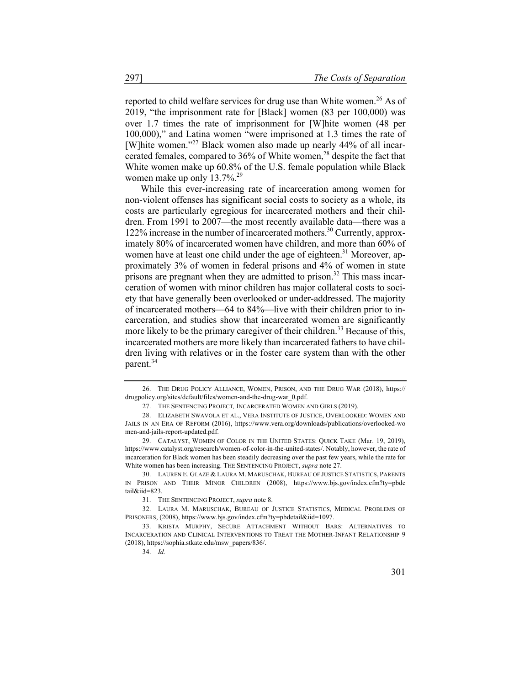reported to child welfare services for drug use than White women.<sup>26</sup> As of 2019, "the imprisonment rate for [Black] women (83 per 100,000) was over 1.7 times the rate of imprisonment for [W]hite women (48 per 100,000)," and Latina women "were imprisoned at 1.3 times the rate of [W] hite women."<sup>27</sup> Black women also made up nearly 44% of all incarcerated females, compared to  $36\%$  of White women,<sup>28</sup> despite the fact that White women make up 60.8% of the U.S. female population while Black women make up only  $13.7\%$ <sup>29</sup>

While this ever-increasing rate of incarceration among women for non-violent offenses has significant social costs to society as a whole, its costs are particularly egregious for incarcerated mothers and their children. From 1991 to 2007—the most recently available data—there was a 122% increase in the number of incarcerated mothers.<sup>30</sup> Currently, approximately 80% of incarcerated women have children, and more than  $60\%$  of women have at least one child under the age of eighteen.<sup>31</sup> Moreover, approximately 3% of women in federal prisons and 4% of women in state prisons are pregnant when they are admitted to prison.<sup>32</sup> This mass incarceration of women with minor children has major collateral costs to society that have generally been overlooked or under-addressed. The majority of incarcerated mothers—64 to 84%—live with their children prior to incarceration, and studies show that incarcerated women are significantly more likely to be the primary caregiver of their children.<sup>33</sup> Because of this, incarcerated mothers are more likely than incarcerated fathers to have children living with relatives or in the foster care system than with the other parent.<sup>34</sup>

<sup>26.</sup> THE DRUG POLICY ALLIANCE, WOMEN, PRISON, AND THE DRUG WAR (2018), https:// drugpolicy.org/sites/default/files/women-and-the-drug-war\_0.pdf.

<sup>27.</sup> THE SENTENCING PROJECT*,* INCARCERATED WOMEN AND GIRLS (2019).

<sup>28.</sup> ELIZABETH SWAVOLA ET AL., VERA INSTITUTE OF JUSTICE, OVERLOOKED: WOMEN AND JAILS IN AN ERA OF REFORM (2016), https://www.vera.org/downloads/publications/overlooked-wo men-and-jails-report-updated.pdf.

<sup>29.</sup> CATALYST, WOMEN OF COLOR IN THE UNITED STATES: QUICK TAKE (Mar. 19, 2019), https://www.catalyst.org/research/women-of-color-in-the-united-states/. Notably, however, the rate of incarceration for Black women has been steadily decreasing over the past few years, while the rate for White women has been increasing. THE SENTENCING PROJECT, *supra* note 27.

<sup>30.</sup> LAUREN E. GLAZE & LAURA M. MARUSCHAK, BUREAU OF JUSTICE STATISTICS, PARENTS IN PRISON AND THEIR MINOR CHILDREN (2008), https://www.bjs.gov/index.cfm?ty=pbde tail&iid=823.

<sup>31.</sup> THE SENTENCING PROJECT, *supra* note 8.

<sup>32.</sup> LAURA M. MARUSCHAK, BUREAU OF JUSTICE STATISTICS, MEDICAL PROBLEMS OF PRISONERS, (2008), https://www.bjs.gov/index.cfm?ty=pbdetail&iid=1097.

<sup>33.</sup> KRISTA MURPHY, SECURE ATTACHMENT WITHOUT BARS: ALTERNATIVES TO INCARCERATION AND CLINICAL INTERVENTIONS TO TREAT THE MOTHER-INFANT RELATIONSHIP 9 (2018), https://sophia.stkate.edu/msw\_papers/836/.

<sup>34.</sup> *Id.*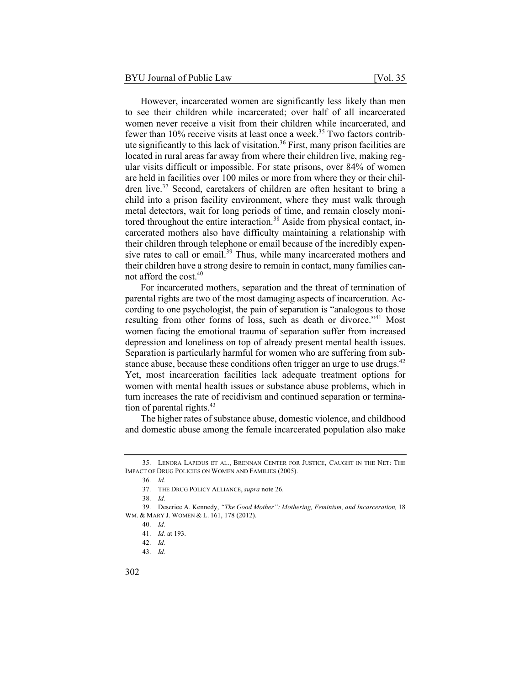However, incarcerated women are significantly less likely than men to see their children while incarcerated; over half of all incarcerated women never receive a visit from their children while incarcerated, and fewer than  $10\%$  receive visits at least once a week.<sup>35</sup> Two factors contribute significantly to this lack of visitation.<sup>36</sup> First, many prison facilities are located in rural areas far away from where their children live, making regular visits difficult or impossible. For state prisons, over 84% of women are held in facilities over 100 miles or more from where they or their children live.<sup>37</sup> Second, caretakers of children are often hesitant to bring a child into a prison facility environment, where they must walk through metal detectors, wait for long periods of time, and remain closely monitored throughout the entire interaction.<sup>38</sup> Aside from physical contact, incarcerated mothers also have difficulty maintaining a relationship with their children through telephone or email because of the incredibly expensive rates to call or email.<sup>39</sup> Thus, while many incarcerated mothers and their children have a strong desire to remain in contact, many families cannot afford the cost.40

For incarcerated mothers, separation and the threat of termination of parental rights are two of the most damaging aspects of incarceration. According to one psychologist, the pain of separation is "analogous to those resulting from other forms of loss, such as death or divorce."<sup>41</sup> Most women facing the emotional trauma of separation suffer from increased depression and loneliness on top of already present mental health issues. Separation is particularly harmful for women who are suffering from substance abuse, because these conditions often trigger an urge to use drugs.<sup>42</sup> Yet, most incarceration facilities lack adequate treatment options for women with mental health issues or substance abuse problems, which in turn increases the rate of recidivism and continued separation or termination of parental rights. $43$ 

The higher rates of substance abuse, domestic violence, and childhood and domestic abuse among the female incarcerated population also make

<sup>35.</sup> LENORA LAPIDUS ET AL., BRENNAN CENTER FOR JUSTICE, CAUGHT IN THE NET: THE IMPACT OF DRUG POLICIES ON WOMEN AND FAMILIES (2005).

<sup>36.</sup> *Id.*

<sup>37.</sup> THE DRUG POLICY ALLIANCE, *supra* note 26.

<sup>38.</sup> *Id.*

<sup>39.</sup> Deseriee A. Kennedy, *"The Good Mother": Mothering, Feminism, and Incarceration,* 18 WM. & MARY J. WOMEN & L. 161, 178 (2012).

<sup>40.</sup> *Id.*

<sup>41.</sup> *Id.* at 193.

<sup>42.</sup> *Id.*

<sup>43.</sup> *Id.*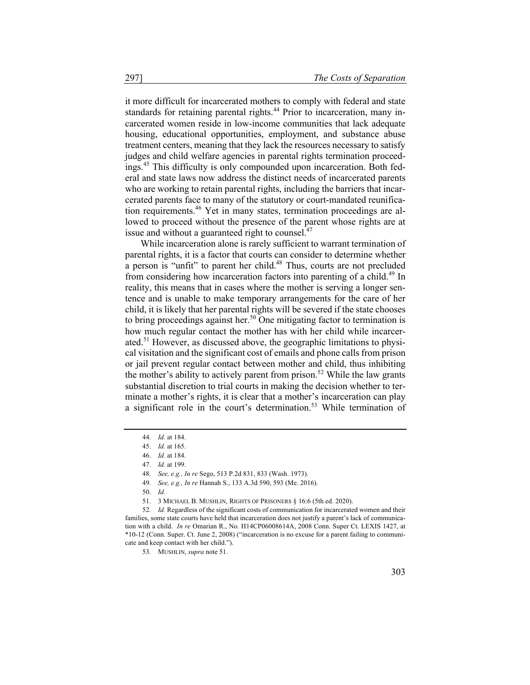it more difficult for incarcerated mothers to comply with federal and state standards for retaining parental rights.<sup>44</sup> Prior to incarceration, many incarcerated women reside in low-income communities that lack adequate housing, educational opportunities, employment, and substance abuse treatment centers, meaning that they lack the resources necessary to satisfy judges and child welfare agencies in parental rights termination proceedings.<sup>45</sup> This difficulty is only compounded upon incarceration. Both federal and state laws now address the distinct needs of incarcerated parents who are working to retain parental rights, including the barriers that incarcerated parents face to many of the statutory or court-mandated reunification requirements.<sup>46</sup> Yet in many states, termination proceedings are allowed to proceed without the presence of the parent whose rights are at issue and without a guaranteed right to counsel. $47$ 

While incarceration alone is rarely sufficient to warrant termination of parental rights, it is a factor that courts can consider to determine whether a person is "unfit" to parent her child. $48$  Thus, courts are not precluded from considering how incarceration factors into parenting of a child.<sup>49</sup> In reality, this means that in cases where the mother is serving a longer sentence and is unable to make temporary arrangements for the care of her child, it is likely that her parental rights will be severed if the state chooses to bring proceedings against her.<sup>50</sup> One mitigating factor to termination is how much regular contact the mother has with her child while incarcerated.<sup>51</sup> However, as discussed above, the geographic limitations to physical visitation and the significant cost of emails and phone calls from prison or jail prevent regular contact between mother and child, thus inhibiting the mother's ability to actively parent from prison.<sup>52</sup> While the law grants substantial discretion to trial courts in making the decision whether to terminate a mother's rights, it is clear that a mother's incarceration can play a significant role in the court's determination.<sup>53</sup> While termination of

<sup>44.</sup> *Id.* at 184.

<sup>45.</sup> *Id.* at 165.

<sup>46.</sup> *Id.* at 184.

<sup>47.</sup> *Id.* at 199.

<sup>48.</sup> *See, e.g., In re* Sego, 513 P.2d 831, 833 (Wash. 1973).

<sup>49.</sup> *See, e.g., In re* Hannah S., 133 A.3d 590, 593 (Me. 2016).

<sup>50.</sup> *Id.*

<sup>51.</sup> 3 MICHAEL B. MUSHLIN, RIGHTS OF PRISONERS § 16:6 (5th ed. 2020).

<sup>52</sup>*. Id.* Regardless of the significant costs of communication for incarcerated women and their families, some state courts have held that incarceration does not justify a parent's lack of communication with a child. *In re* Omarian R., No. H14CP06008614A, 2008 Conn. Super Ct. LEXIS 1427, at \*10-12 (Conn. Super. Ct. June 2, 2008) ("incarceration is no excuse for a parent failing to communicate and keep contact with her child.").

<sup>53</sup>*.* MUSHLIN, *supra* note 51.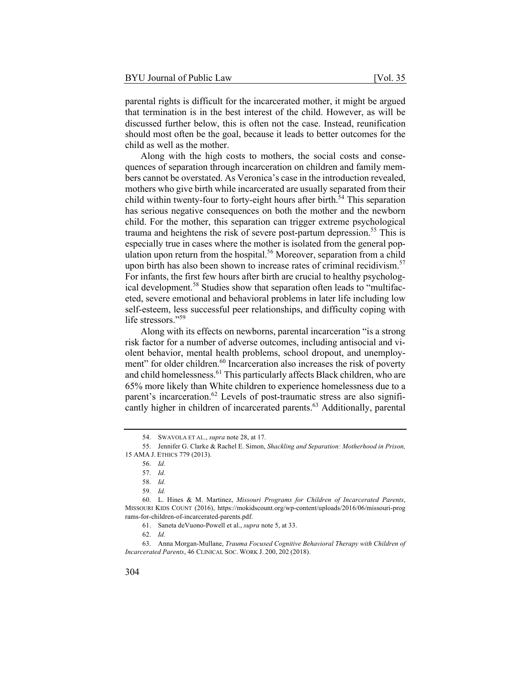parental rights is difficult for the incarcerated mother, it might be argued that termination is in the best interest of the child. However, as will be discussed further below, this is often not the case. Instead, reunification should most often be the goal, because it leads to better outcomes for the child as well as the mother.

Along with the high costs to mothers, the social costs and consequences of separation through incarceration on children and family members cannot be overstated. As Veronica's case in the introduction revealed, mothers who give birth while incarcerated are usually separated from their child within twenty-four to forty-eight hours after birth. $54$  This separation has serious negative consequences on both the mother and the newborn child. For the mother, this separation can trigger extreme psychological trauma and heightens the risk of severe post-partum depression.<sup>55</sup> This is especially true in cases where the mother is isolated from the general population upon return from the hospital.<sup>56</sup> Moreover, separation from a child upon birth has also been shown to increase rates of criminal recidivism.<sup>57</sup> For infants, the first few hours after birth are crucial to healthy psychological development.<sup>58</sup> Studies show that separation often leads to "multifaceted, severe emotional and behavioral problems in later life including low self-esteem, less successful peer relationships, and difficulty coping with life stressors."59

Along with its effects on newborns, parental incarceration "is a strong risk factor for a number of adverse outcomes, including antisocial and violent behavior, mental health problems, school dropout, and unemployment" for older children.<sup>60</sup> Incarceration also increases the risk of poverty and child homelessness.<sup>61</sup> This particularly affects Black children, who are 65% more likely than White children to experience homelessness due to a parent's incarceration.<sup>62</sup> Levels of post-traumatic stress are also significantly higher in children of incarcerated parents.<sup>63</sup> Additionally, parental

61. Saneta deVuono-Powell et al., *supra* note 5, at 33.

<sup>54.</sup> SWAVOLA ET AL., *supra* note 28, at 17.

<sup>55.</sup> Jennifer G. Clarke & Rachel E. Simon, *Shackling and Separation: Motherhood in Prison,* 15 AMA J. ETHICS 779 (2013).

<sup>56.</sup> *Id.*

<sup>57.</sup> *Id.*

<sup>58.</sup> *Id.*

<sup>59.</sup> *Id.*

<sup>60.</sup> L. Hines & M. Martinez, *Missouri Programs for Children of Incarcerated Parents*, MISSOURI KIDS COUNT (2016), https://mokidscount.org/wp-content/uploads/2016/06/missouri-prog rams-for-children-of-incarcerated-parents.pdf.

<sup>62.</sup> *Id.*

<sup>63.</sup> Anna Morgan-Mullane, *Trauma Focused Cognitive Behavioral Therapy with Children of Incarcerated Parents*, 46 CLINICAL SOC. WORK J. 200, 202 (2018).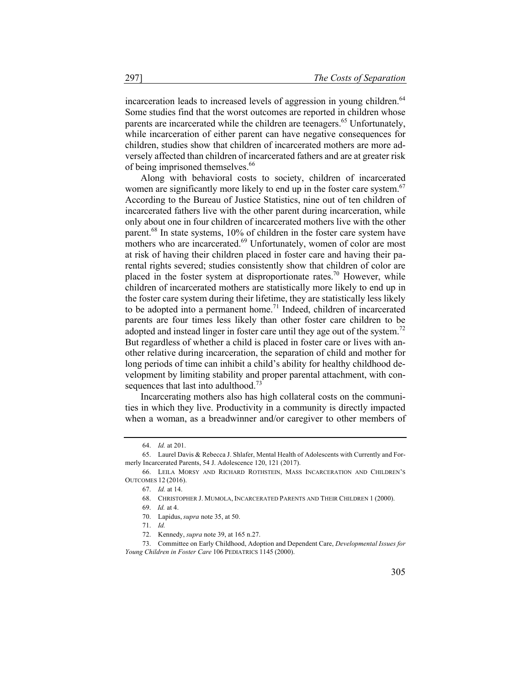incarceration leads to increased levels of aggression in young children.<sup>64</sup> Some studies find that the worst outcomes are reported in children whose parents are incarcerated while the children are teenagers.<sup>65</sup> Unfortunately, while incarceration of either parent can have negative consequences for children, studies show that children of incarcerated mothers are more adversely affected than children of incarcerated fathers and are at greater risk of being imprisoned themselves.<sup>66</sup>

Along with behavioral costs to society, children of incarcerated women are significantly more likely to end up in the foster care system.<sup>67</sup> According to the Bureau of Justice Statistics, nine out of ten children of incarcerated fathers live with the other parent during incarceration, while only about one in four children of incarcerated mothers live with the other parent.<sup>68</sup> In state systems, 10% of children in the foster care system have mothers who are incarcerated.<sup>69</sup> Unfortunately, women of color are most at risk of having their children placed in foster care and having their parental rights severed; studies consistently show that children of color are placed in the foster system at disproportionate rates.<sup>70</sup> However, while children of incarcerated mothers are statistically more likely to end up in the foster care system during their lifetime, they are statistically less likely to be adopted into a permanent home.<sup>71</sup> Indeed, children of incarcerated parents are four times less likely than other foster care children to be adopted and instead linger in foster care until they age out of the system.<sup>72</sup> But regardless of whether a child is placed in foster care or lives with another relative during incarceration, the separation of child and mother for long periods of time can inhibit a child's ability for healthy childhood development by limiting stability and proper parental attachment, with consequences that last into adulthood.<sup>73</sup>

Incarcerating mothers also has high collateral costs on the communities in which they live. Productivity in a community is directly impacted when a woman, as a breadwinner and/or caregiver to other members of

<sup>64.</sup> *Id.* at 201.

<sup>65.</sup> Laurel Davis & Rebecca J. Shlafer, Mental Health of Adolescents with Currently and Formerly Incarcerated Parents, 54 J. Adolescence 120, 121 (2017).

<sup>66.</sup> LEILA MORSY AND RICHARD ROTHSTEIN, MASS INCARCERATION AND CHILDREN'S OUTCOMES 12 (2016).

<sup>67.</sup> *Id.* at 14.

<sup>68.</sup> CHRISTOPHER J. MUMOLA, INCARCERATED PARENTS AND THEIR CHILDREN 1 (2000).

<sup>69.</sup> *Id.* at 4.

<sup>70.</sup> Lapidus, *supra* note 35, at 50.

<sup>71.</sup> *Id.*

<sup>72.</sup> Kennedy, *supra* note 39, at 165 n.27.

<sup>73.</sup> Committee on Early Childhood, Adoption and Dependent Care, *Developmental Issues for Young Children in Foster Care* 106 PEDIATRICS 1145 (2000).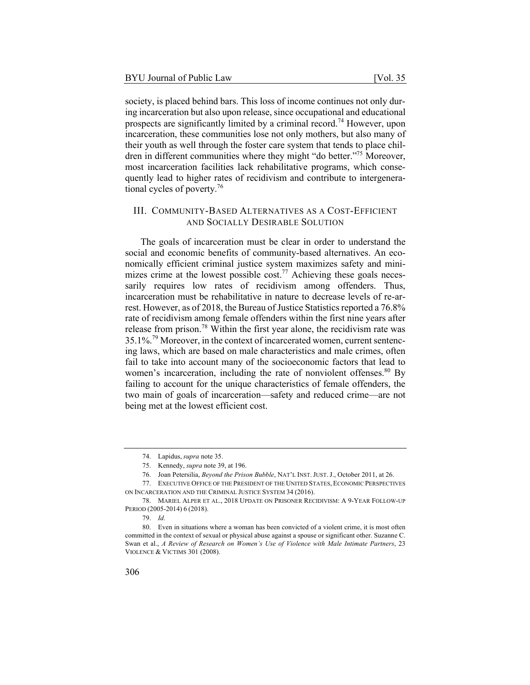society, is placed behind bars. This loss of income continues not only during incarceration but also upon release, since occupational and educational prospects are significantly limited by a criminal record.<sup>74</sup> However, upon incarceration, these communities lose not only mothers, but also many of their youth as well through the foster care system that tends to place children in different communities where they might "do better."<sup>75</sup> Moreover, most incarceration facilities lack rehabilitative programs, which consequently lead to higher rates of recidivism and contribute to intergenerational cycles of poverty.<sup>76</sup>

#### III. COMMUNITY-BASED ALTERNATIVES AS A COST-EFFICIENT AND SOCIALLY DESIRABLE SOLUTION

The goals of incarceration must be clear in order to understand the social and economic benefits of community-based alternatives. An economically efficient criminal justice system maximizes safety and minimizes crime at the lowest possible cost.<sup>77</sup> Achieving these goals necessarily requires low rates of recidivism among offenders. Thus, incarceration must be rehabilitative in nature to decrease levels of re-arrest. However, as of 2018, the Bureau of Justice Statistics reported a 76.8% rate of recidivism among female offenders within the first nine years after release from prison.<sup>78</sup> Within the first year alone, the recidivism rate was  $35.1\%$ <sup>79</sup> Moreover, in the context of incarcerated women, current sentencing laws, which are based on male characteristics and male crimes, often fail to take into account many of the socioeconomic factors that lead to women's incarceration, including the rate of nonviolent offenses. $80\ \text{By}$ failing to account for the unique characteristics of female offenders, the two main of goals of incarceration—safety and reduced crime—are not being met at the lowest efficient cost.

<sup>74.</sup> Lapidus, *supra* note 35.

<sup>75.</sup> Kennedy, *supra* note 39, at 196.

<sup>76.</sup> Joan Petersilia, *Beyond the Prison Bubble*, NAT'L INST. JUST. J., October 2011, at 26.

<sup>77.</sup> EXECUTIVE OFFICE OF THE PRESIDENT OF THE UNITED STATES, ECONOMIC PERSPECTIVES ON INCARCERATION AND THE CRIMINAL JUSTICE SYSTEM 34 (2016).

<sup>78.</sup> MARIEL ALPER ET AL., 2018 UPDATE ON PRISONER RECIDIVISM: A 9-YEAR FOLLOW-UP PERIOD (2005-2014) 6 (2018).

<sup>79.</sup> *Id.*

<sup>80.</sup> Even in situations where a woman has been convicted of a violent crime, it is most often committed in the context of sexual or physical abuse against a spouse or significant other. Suzanne C. Swan et al., *A Review of Research on Women's Use of Violence with Male Intimate Partners*, 23 VIOLENCE & VICTIMS 301 (2008).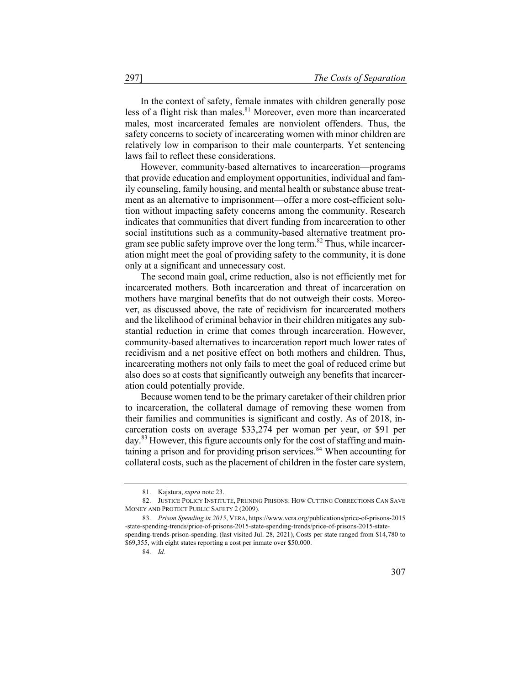In the context of safety, female inmates with children generally pose less of a flight risk than males. $81$  Moreover, even more than incarcerated males, most incarcerated females are nonviolent offenders. Thus, the safety concerns to society of incarcerating women with minor children are relatively low in comparison to their male counterparts. Yet sentencing laws fail to reflect these considerations.

However, community-based alternatives to incarceration—programs that provide education and employment opportunities, individual and family counseling, family housing, and mental health or substance abuse treatment as an alternative to imprisonment—offer a more cost-efficient solution without impacting safety concerns among the community. Research indicates that communities that divert funding from incarceration to other social institutions such as a community-based alternative treatment program see public safety improve over the long term.<sup>82</sup> Thus, while incarceration might meet the goal of providing safety to the community, it is done only at a significant and unnecessary cost.

The second main goal, crime reduction, also is not efficiently met for incarcerated mothers. Both incarceration and threat of incarceration on mothers have marginal benefits that do not outweigh their costs. Moreover, as discussed above, the rate of recidivism for incarcerated mothers and the likelihood of criminal behavior in their children mitigates any substantial reduction in crime that comes through incarceration. However, community-based alternatives to incarceration report much lower rates of recidivism and a net positive effect on both mothers and children. Thus, incarcerating mothers not only fails to meet the goal of reduced crime but also does so at costs that significantly outweigh any benefits that incarceration could potentially provide.

Because women tend to be the primary caretaker of their children prior to incarceration, the collateral damage of removing these women from their families and communities is significant and costly. As of 2018, incarceration costs on average \$33,274 per woman per year, or \$91 per day.<sup>83</sup> However, this figure accounts only for the cost of staffing and maintaining a prison and for providing prison services. $84$  When accounting for collateral costs, such as the placement of children in the foster care system,

<sup>81.</sup> Kajstura, *supra* note 23.

<sup>82.</sup> JUSTICE POLICY INSTITUTE, PRUNING PRISONS: HOW CUTTING CORRECTIONS CAN SAVE MONEY AND PROTECT PUBLIC SAFETY 2 (2009).

<sup>83.</sup> *Prison Spending in 2015*, VERA, https://www.vera.org/publications/price-of-prisons-2015 -state-spending-trends/price-of-prisons-2015-state-spending-trends/price-of-prisons-2015-statespending-trends-prison-spending. (last visited Jul. 28, 2021), Costs per state ranged from \$14,780 to \$69,355, with eight states reporting a cost per inmate over \$50,000.

<sup>84.</sup> *Id.*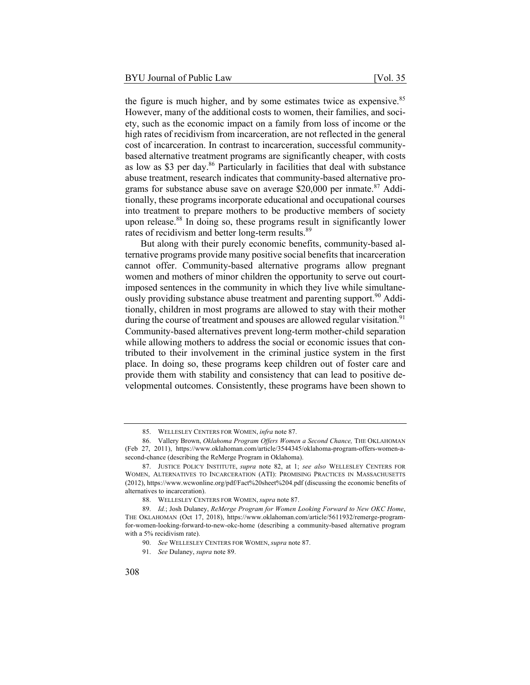the figure is much higher, and by some estimates twice as expensive.<sup>85</sup> However, many of the additional costs to women, their families, and society, such as the economic impact on a family from loss of income or the high rates of recidivism from incarceration, are not reflected in the general cost of incarceration. In contrast to incarceration, successful communitybased alternative treatment programs are significantly cheaper, with costs as low as \$3 per day. $86$  Particularly in facilities that deal with substance abuse treatment, research indicates that community-based alternative programs for substance abuse save on average \$20,000 per inmate.<sup>87</sup> Additionally, these programs incorporate educational and occupational courses into treatment to prepare mothers to be productive members of society upon release.<sup>88</sup> In doing so, these programs result in significantly lower rates of recidivism and better long-term results.<sup>89</sup>

But along with their purely economic benefits, community-based alternative programs provide many positive social benefits that incarceration cannot offer. Community-based alternative programs allow pregnant women and mothers of minor children the opportunity to serve out courtimposed sentences in the community in which they live while simultaneously providing substance abuse treatment and parenting support.<sup>90</sup> Additionally, children in most programs are allowed to stay with their mother during the course of treatment and spouses are allowed regular visitation.<sup>91</sup> Community-based alternatives prevent long-term mother-child separation while allowing mothers to address the social or economic issues that contributed to their involvement in the criminal justice system in the first place. In doing so, these programs keep children out of foster care and provide them with stability and consistency that can lead to positive developmental outcomes. Consistently, these programs have been shown to

<sup>85.</sup> WELLESLEY CENTERS FOR WOMEN, *infra* note 87.

<sup>86.</sup> Vallery Brown, *Oklahoma Program Offers Women a Second Chance,* THE OKLAHOMAN (Feb 27, 2011), https://www.oklahoman.com/article/3544345/oklahoma-program-offers-women-asecond-chance (describing the ReMerge Program in Oklahoma).

<sup>87.</sup> JUSTICE POLICY INSTITUTE, *supra* note 82, at 1; *see also* WELLESLEY CENTERS FOR WOMEN, ALTERNATIVES TO INCARCERATION (ATI): PROMISING PRACTICES IN MASSACHUSETTS (2012), https://www.wcwonline.org/pdf/Fact%20sheet%204.pdf (discussing the economic benefits of alternatives to incarceration).

<sup>88.</sup> WELLESLEY CENTERS FOR WOMEN, *supra* note 87.

<sup>89.</sup> *Id.*; Josh Dulaney, *ReMerge Program for Women Looking Forward to New OKC Home*, THE OKLAHOMAN (Oct 17, 2018), https://www.oklahoman.com/article/5611932/remerge-programfor-women-looking-forward-to-new-okc-home (describing a community-based alternative program with a 5% recidivism rate).

<sup>90.</sup> *See* WELLESLEY CENTERS FOR WOMEN, *supra* note 87.

<sup>91.</sup> *See* Dulaney, *supra* note 89.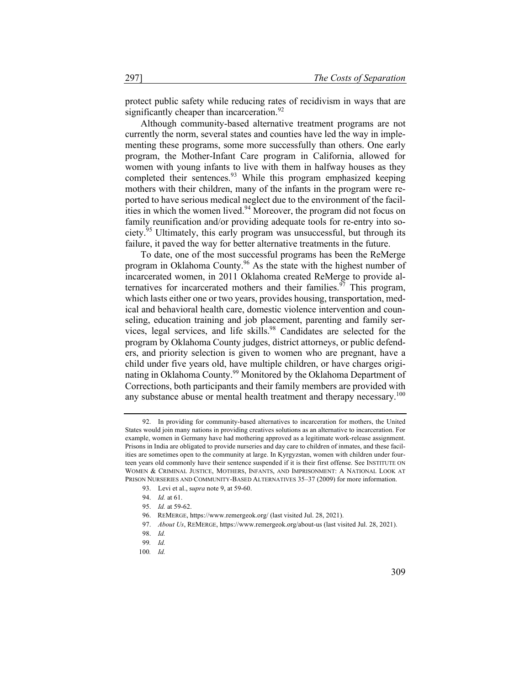protect public safety while reducing rates of recidivism in ways that are significantly cheaper than incarceration. $92$ 

Although community-based alternative treatment programs are not currently the norm, several states and counties have led the way in implementing these programs, some more successfully than others. One early program, the Mother-Infant Care program in California, allowed for women with young infants to live with them in halfway houses as they completed their sentences.<sup>93</sup> While this program emphasized keeping mothers with their children, many of the infants in the program were reported to have serious medical neglect due to the environment of the facilities in which the women lived.<sup>94</sup> Moreover, the program did not focus on family reunification and/or providing adequate tools for re-entry into society.<sup>95</sup> Ultimately, this early program was unsuccessful, but through its failure, it paved the way for better alternative treatments in the future.

To date, one of the most successful programs has been the ReMerge program in Oklahoma County.<sup>96</sup> As the state with the highest number of incarcerated women, in 2011 Oklahoma created ReMerge to provide alternatives for incarcerated mothers and their families.<sup>97</sup> This program, which lasts either one or two years, provides housing, transportation, medical and behavioral health care, domestic violence intervention and counseling, education training and job placement, parenting and family services, legal services, and life skills.<sup>98</sup> Candidates are selected for the program by Oklahoma County judges, district attorneys, or public defenders, and priority selection is given to women who are pregnant, have a child under five years old, have multiple children, or have charges originating in Oklahoma County.<sup>99</sup> Monitored by the Oklahoma Department of Corrections, both participants and their family members are provided with any substance abuse or mental health treatment and therapy necessary.<sup>100</sup>

<sup>92.</sup> In providing for community-based alternatives to incarceration for mothers, the United States would join many nations in providing creatives solutions as an alternative to incarceration. For example, women in Germany have had mothering approved as a legitimate work-release assignment. Prisons in India are obligated to provide nurseries and day care to children of inmates, and these facilities are sometimes open to the community at large. In Kyrgyzstan, women with children under fourteen years old commonly have their sentence suspended if it is their first offense. See INSTITUTE ON WOMEN & CRIMINAL JUSTICE, MOTHERS, INFANTS, AND IMPRISONMENT: A NATIONAL LOOK AT PRISON NURSERIES AND COMMUNITY-BASED ALTERNATIVES 35–37 (2009) for more information.

<sup>93.</sup> Levi et al., s*upra* note 9, at 59-60.

<sup>94.</sup> *Id.* at 61.

<sup>95.</sup> *Id.* at 59-62.

<sup>96.</sup> REMERGE, https://www.remergeok.org/ (last visited Jul. 28, 2021).

<sup>97.</sup> *About Us*, REMERGE, https://www.remergeok.org/about-us (last visited Jul. 28, 2021).

<sup>98.</sup> *Id.*

<sup>99</sup>*. Id.*

<sup>100</sup>*. Id.*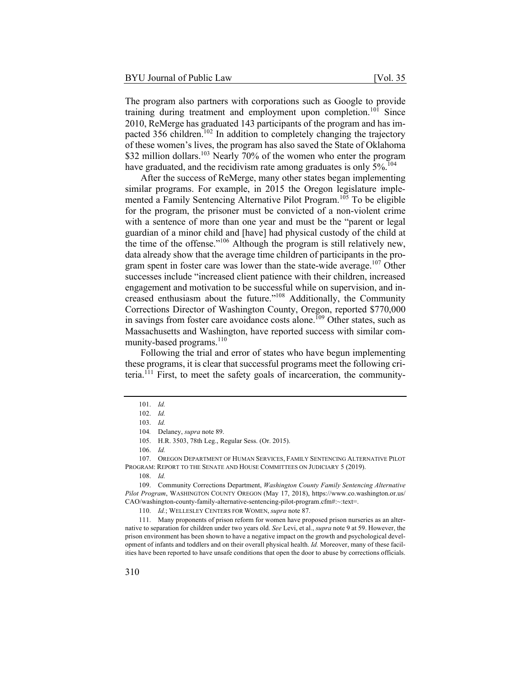The program also partners with corporations such as Google to provide training during treatment and employment upon completion.<sup>101</sup> Since 2010, ReMerge has graduated 143 participants of the program and has impacted 356 children.<sup>102</sup> In addition to completely changing the trajectory of these women's lives, the program has also saved the State of Oklahoma \$32 million dollars.<sup>103</sup> Nearly 70% of the women who enter the program have graduated, and the recidivism rate among graduates is only 5%.<sup>104</sup>

After the success of ReMerge, many other states began implementing similar programs. For example, in 2015 the Oregon legislature implemented a Family Sentencing Alternative Pilot Program.<sup>105</sup> To be eligible for the program, the prisoner must be convicted of a non-violent crime with a sentence of more than one year and must be the "parent or legal guardian of a minor child and [have] had physical custody of the child at the time of the offense."<sup>106</sup> Although the program is still relatively new, data already show that the average time children of participants in the program spent in foster care was lower than the state-wide average.<sup>107</sup> Other successes include "increased client patience with their children, increased engagement and motivation to be successful while on supervision, and increased enthusiasm about the future."<sup>108</sup> Additionally, the Community Corrections Director of Washington County, Oregon, reported \$770,000 in savings from foster care avoidance costs alone.<sup>109</sup> Other states, such as Massachusetts and Washington, have reported success with similar community-based programs.<sup>110</sup>

Following the trial and error of states who have begun implementing these programs, it is clear that successful programs meet the following criteria.<sup>111</sup> First, to meet the safety goals of incarceration, the community-

<sup>101.</sup> *Id.*

<sup>102.</sup> *Id.*

<sup>103.</sup> *Id.*

<sup>104</sup>*.* Delaney, *supra* note 89.

<sup>105.</sup> H.R. 3503, 78th Leg., Regular Sess. (Or. 2015).

<sup>106.</sup> *Id.*

<sup>107.</sup> OREGON DEPARTMENT OF HUMAN SERVICES, FAMILY SENTENCING ALTERNATIVE PILOT PROGRAM: REPORT TO THE SENATE AND HOUSE COMMITTEES ON JUDICIARY 5 (2019).

<sup>108.</sup> *Id.*

<sup>109.</sup> Community Corrections Department, *Washington County Family Sentencing Alternative Pilot Program*, WASHINGTON COUNTY OREGON (May 17, 2018), https://www.co.washington.or.us/ CAO/washington-county-family-alternative-sentencing-pilot-program.cfm#:~:text=.

<sup>110.</sup> *Id.*; WELLESLEY CENTERS FOR WOMEN, *supra* note 87.

<sup>111.</sup> Many proponents of prison reform for women have proposed prison nurseries as an alternative to separation for children under two years old. *See* Levi, et al., *supra* note 9 at 59. However, the prison environment has been shown to have a negative impact on the growth and psychological development of infants and toddlers and on their overall physical health. *Id.* Moreover, many of these facilities have been reported to have unsafe conditions that open the door to abuse by corrections officials.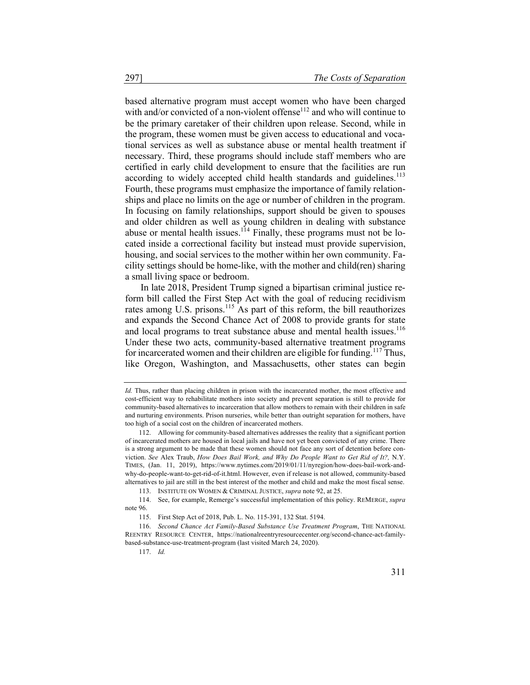based alternative program must accept women who have been charged with and/or convicted of a non-violent offense<sup>112</sup> and who will continue to be the primary caretaker of their children upon release. Second, while in the program, these women must be given access to educational and vocational services as well as substance abuse or mental health treatment if necessary. Third, these programs should include staff members who are certified in early child development to ensure that the facilities are run according to widely accepted child health standards and guidelines.<sup>113</sup> Fourth, these programs must emphasize the importance of family relationships and place no limits on the age or number of children in the program. In focusing on family relationships, support should be given to spouses and older children as well as young children in dealing with substance abuse or mental health issues.<sup>114</sup> Finally, these programs must not be located inside a correctional facility but instead must provide supervision, housing, and social services to the mother within her own community. Facility settings should be home-like, with the mother and child(ren) sharing a small living space or bedroom.

In late 2018, President Trump signed a bipartisan criminal justice reform bill called the First Step Act with the goal of reducing recidivism rates among U.S. prisons.<sup>115</sup> As part of this reform, the bill reauthorizes and expands the Second Chance Act of 2008 to provide grants for state and local programs to treat substance abuse and mental health issues.<sup>116</sup> Under these two acts, community-based alternative treatment programs for incarcerated women and their children are eligible for funding.<sup>117</sup> Thus, like Oregon, Washington, and Massachusetts, other states can begin

*Id.* Thus, rather than placing children in prison with the incarcerated mother, the most effective and cost-efficient way to rehabilitate mothers into society and prevent separation is still to provide for community-based alternatives to incarceration that allow mothers to remain with their children in safe and nurturing environments. Prison nurseries, while better than outright separation for mothers, have too high of a social cost on the children of incarcerated mothers.

<sup>112.</sup> Allowing for community-based alternatives addresses the reality that a significant portion of incarcerated mothers are housed in local jails and have not yet been convicted of any crime. There is a strong argument to be made that these women should not face any sort of detention before conviction. *See* Alex Traub, *How Does Bail Work, and Why Do People Want to Get Rid of It?,* N.Y. TIMES, (Jan. 11, 2019), https://www.nytimes.com/2019/01/11/nyregion/how-does-bail-work-andwhy-do-people-want-to-get-rid-of-it.html. However, even if release is not allowed, community-based alternatives to jail are still in the best interest of the mother and child and make the most fiscal sense.

<sup>113.</sup> INSTITUTE ON WOMEN & CRIMINAL JUSTICE, *supra* note 92, at 25.

<sup>114.</sup> See, for example, Remerge's successful implementation of this policy. REMERGE, *supra* note 96.

<sup>115.</sup> First Step Act of 2018, Pub. L. No. 115-391, 132 Stat. 5194.

<sup>116.</sup> *Second Chance Act Family-Based Substance Use Treatment Program*, THE NATIONAL REENTRY RESOURCE CENTER, https://nationalreentryresourcecenter.org/second-chance-act-familybased-substance-use-treatment-program (last visited March 24, 2020).

<sup>117.</sup> *Id.*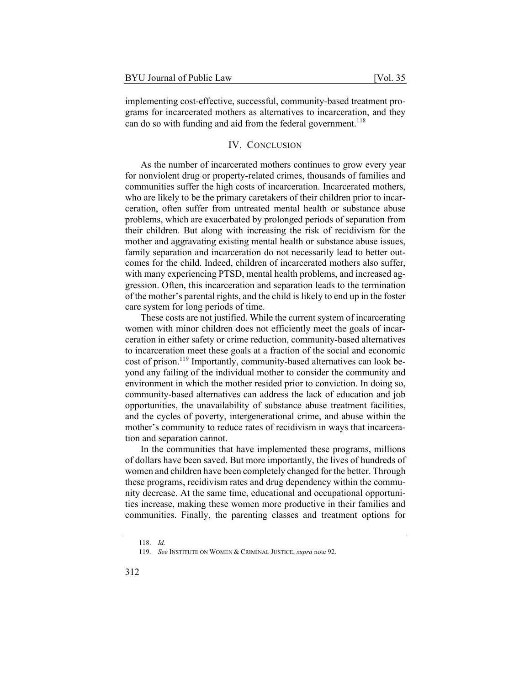implementing cost-effective, successful, community-based treatment programs for incarcerated mothers as alternatives to incarceration, and they can do so with funding and aid from the federal government.<sup>118</sup>

#### IV. CONCLUSION

As the number of incarcerated mothers continues to grow every year for nonviolent drug or property-related crimes, thousands of families and communities suffer the high costs of incarceration. Incarcerated mothers, who are likely to be the primary caretakers of their children prior to incarceration, often suffer from untreated mental health or substance abuse problems, which are exacerbated by prolonged periods of separation from their children. But along with increasing the risk of recidivism for the mother and aggravating existing mental health or substance abuse issues, family separation and incarceration do not necessarily lead to better outcomes for the child. Indeed, children of incarcerated mothers also suffer, with many experiencing PTSD, mental health problems, and increased aggression. Often, this incarceration and separation leads to the termination of the mother's parental rights, and the child is likely to end up in the foster care system for long periods of time.

These costs are not justified. While the current system of incarcerating women with minor children does not efficiently meet the goals of incarceration in either safety or crime reduction, community-based alternatives to incarceration meet these goals at a fraction of the social and economic cost of prison.<sup>119</sup> Importantly, community-based alternatives can look beyond any failing of the individual mother to consider the community and environment in which the mother resided prior to conviction. In doing so, community-based alternatives can address the lack of education and job opportunities, the unavailability of substance abuse treatment facilities, and the cycles of poverty, intergenerational crime, and abuse within the mother's community to reduce rates of recidivism in ways that incarceration and separation cannot.

In the communities that have implemented these programs, millions of dollars have been saved. But more importantly, the lives of hundreds of women and children have been completely changed for the better. Through these programs, recidivism rates and drug dependency within the community decrease. At the same time, educational and occupational opportunities increase, making these women more productive in their families and communities. Finally, the parenting classes and treatment options for

<sup>118.</sup> *Id.*

<sup>119.</sup> *See* INSTITUTE ON WOMEN & CRIMINAL JUSTICE, *supra* note 92.